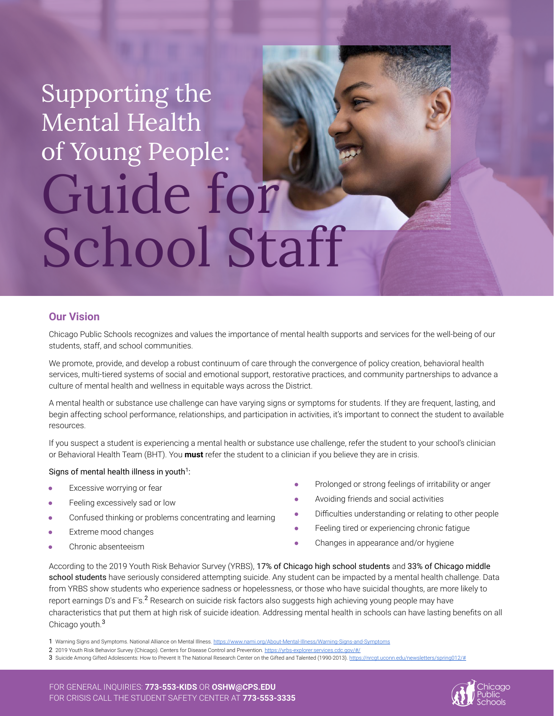# Supporting the Mental Health of Young People: Guide for School Staff

## **Our Vision**

Chicago Public Schools recognizes and values the importance of mental health supports and services for the well-being of our students, staff, and school communities.

We promote, provide, and develop a robust continuum of care through the convergence of policy creation, behavioral health services, multi-tiered systems of social and emotional support, restorative practices, and community partnerships to advance a culture of mental health and wellness in equitable ways across the District.

A mental health or substance use challenge can have varying signs or symptoms for students. If they are frequent, lasting, and begin affecting school performance, relationships, and participation in activities, it's important to connect the student to available resources.

If you suspect a student is experiencing a mental health or substance use challenge, refer the student to your school's clinician or Behavioral Health Team (BHT). You **must** refer the student to a clinician if you believe they are in crisis.

#### Signs of mental health illness in youth<sup>1</sup>:

- Excessive worrying or fear
- Feeling excessively sad or low
- Confused thinking or problems concentrating and learning
- Extreme mood changes
- Chronic absenteeism
- Prolonged or strong feelings of irritability or anger
- Avoiding friends and social activities
- Difficulties understanding or relating to other people
- Feeling tired or experiencing chronic fatigue
- Changes in appearance and/or hygiene

According to the 2019 Youth Risk Behavior Survey (YRBS), 17% of Chicago high school students and 33% of Chicago middle school students have seriously considered attempting suicide. Any student can be impacted by a mental health challenge. Data from YRBS show students who experience sadness or hopelessness, or those who have suicidal thoughts, are more likely to report earnings D's and F's.<sup>2</sup> Research on suicide risk factors also suggests high achieving young people may have characteristics that put them at high risk of suicide ideation. Addressing mental health in schools can have lasting benefits on all Chicago youth.<sup>3</sup>

1 Warning Signs and Symptoms. National Alliance on Mental Illness. <https://www.nami.org/About-Mental-Illness/Warning-Signs-and-Symptoms>



<sup>2 2019</sup> Youth Risk Behavior Survey (Chicago). Centers for Disease Control and Prevention. https://yrbs

<sup>3</sup> Suicide Among Gifted Adolescents: How to Prevent It The National Research Center on the Gifted and Talented (1990-2013). https://